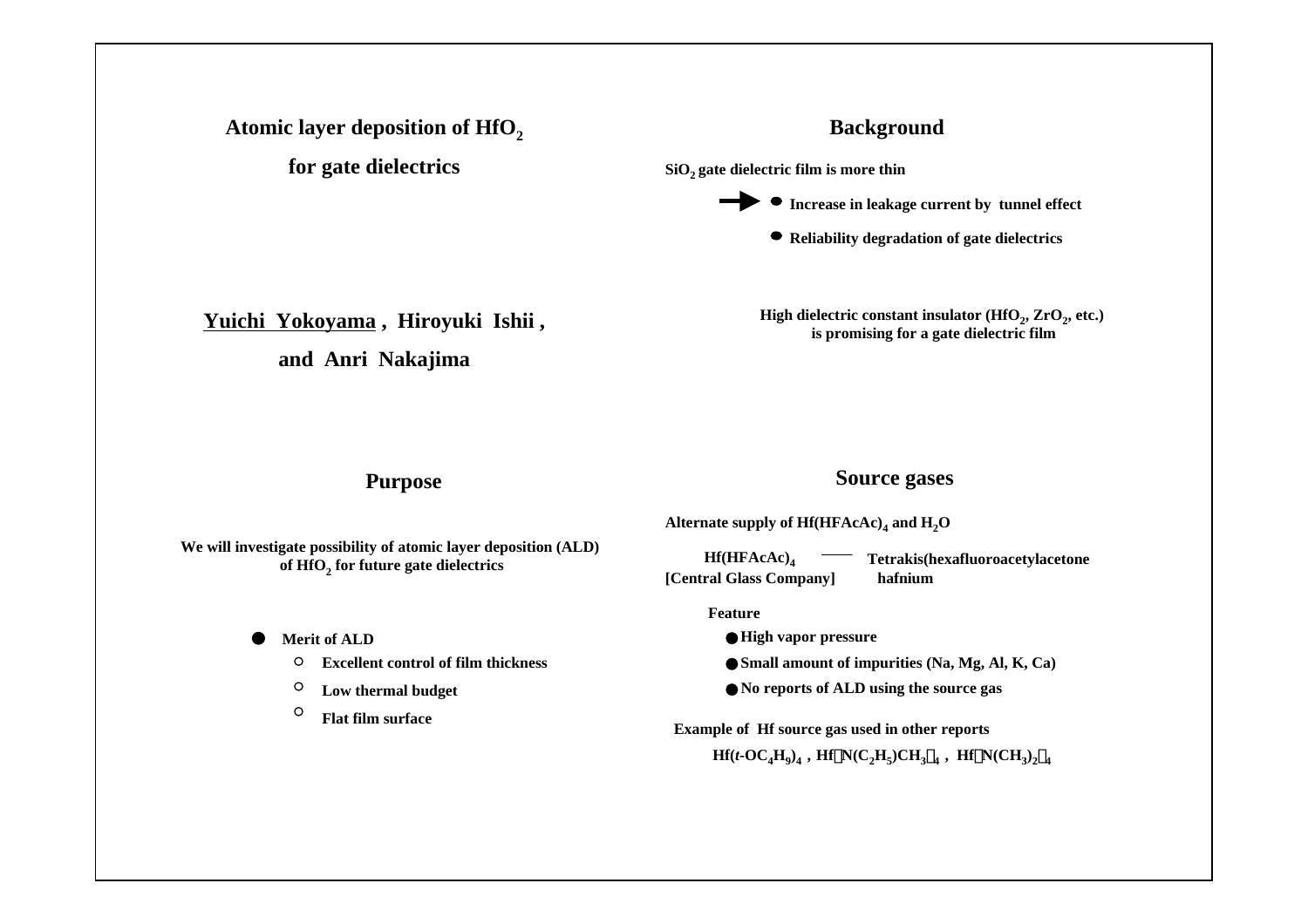## Atomic layer deposition of HfO<sub>2</sub>

**for gate dielectrics**

# **Background**

SiO<sub>2</sub> gate dielectric film is more thin



**Reliability degradation of gate dielectrics**

**Yuichi Yokoyama , Hiroyuki Ishii ,** 

**and Anri Nakajima**

High dielectric constant insulator (HfO<sub>2</sub>, ZrO<sub>2</sub>, etc.) **is promising for a gate dielectric film**

## **Purpose**

# **Source gases**

**We will investigate possibility of atomic layer deposition (ALD) of HfO2 for future gate dielectrics**

**Merit of ALD**

- **Excellent control of film thickness** $\circ$
- **Low thermal budget**  $\circ$
- $\circ$ **Flat film surface**

|  | Alternate supply of $Hf(HFAccAc)$ <sub>4</sub> and $H_2O$ |  |
|--|-----------------------------------------------------------|--|
|--|-----------------------------------------------------------|--|

**Hf(HFAcAc)4 Tetrakis(hexafluoroacetylacetone hafnium[Central Glass Company]**

#### **Feature**

**High vapor pressure** Small amount of impurities (Na, Mg, Al, K, Ca) ●**No reports of ALD using the source gas**

**Example of Hf source gas used in other reports**  $Hf(t-OC_4H_0)_4$ ,  $Hf(N(C_2H_5)CH_{3/4}$ ,  $Hf(N(CH_3)_{2/4}$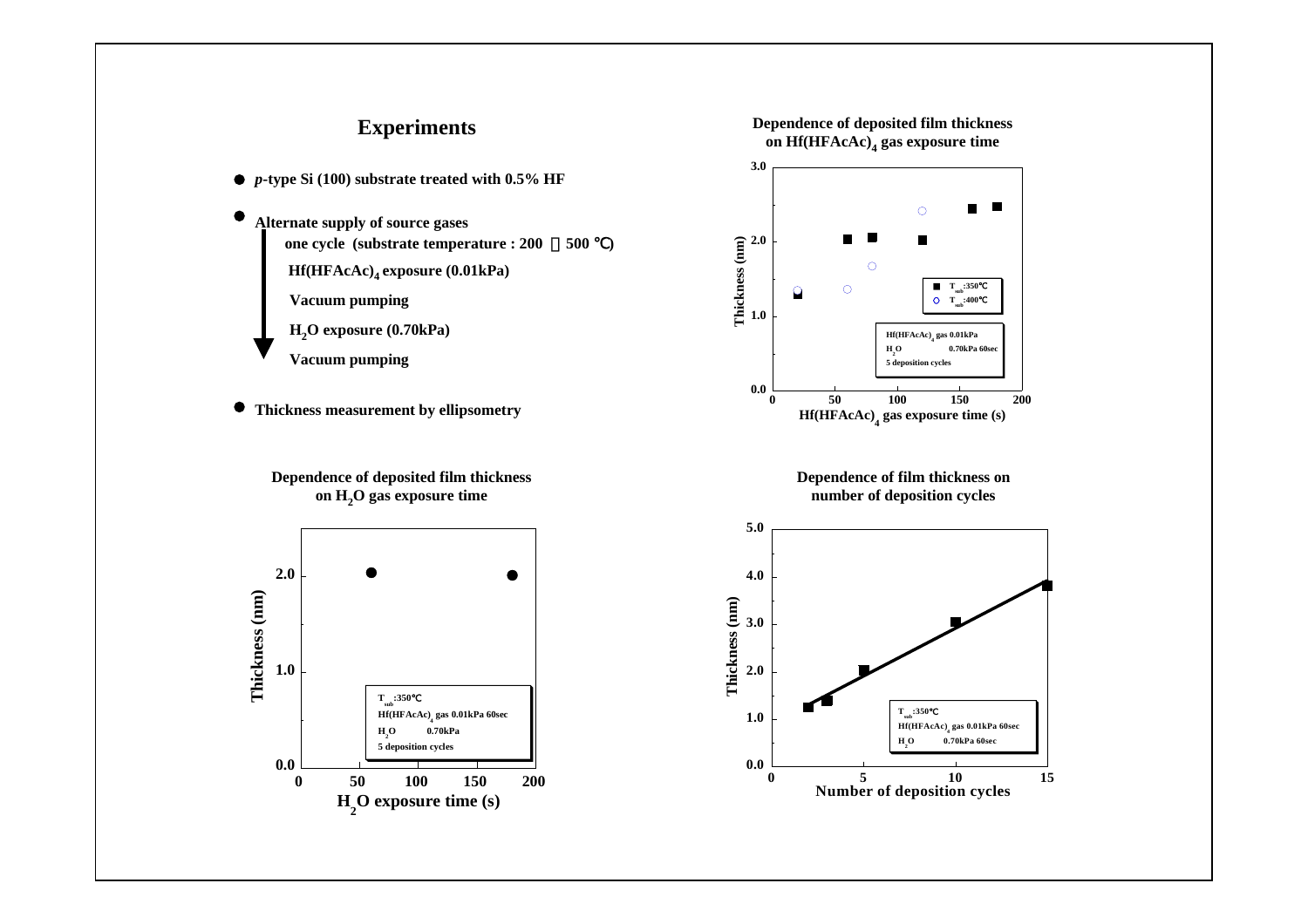### **Experiments**

- *p***-type Si (100) substrate treated with 0.5% HF**
- **Alternate supply of source gases one cycle (substrate temperature : 200** ~**500** ℃**) Hf(HFAcAc)4 exposure (0.01kPa) Vacuum pumping H2O exposure (0.70kPa) Vacuum pumping**
- **Thickness measurement by ellipsometry**

**Dependence of deposited film thickness on H2O gas exposure time**



#### **Dependence of deposited film thickness on Hf(HFAcAc)4 gas exposure time**



**Dependence of film thickness on number of deposition cycles**